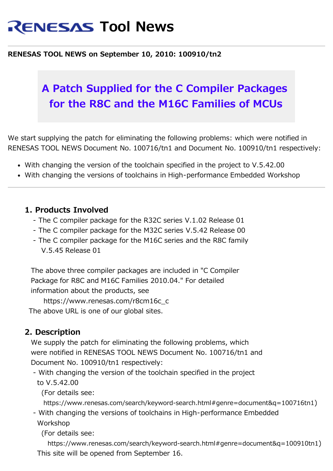# **RENESAS Tool News**

#### **RENESAS TOOL NEWS on September 10, 2010: 100910/tn2**

## **A Patch Supplied for the C Compiler Packages for the R8C and the M16C Families of MCUs**

We start supplying the patch for eliminating the following problems: which were notified in RENESAS TOOL NEWS Document No. 100716/tn1 and Document No. 100910/tn1 respectively:

- With changing the version of the toolchain specified in the project to V.5.42.00
- With changing the versions of toolchains in High-performance Embedded Workshop

#### **1. Products Involved**

- The C compiler package for the R32C series V.1.02 Release 01
- The C compiler package for the M32C series V.5.42 Release 00
- The C compiler package for the M16C series and the R8C family V.5.45 Release 01

The above three compiler packages are included in "C Compiler Package for R8C and M16C Families 2010.04." For detailed information about the products, see

 https://www.renesas.com/r8cm16c\_c The above URL is one of our global sites.

#### **2. Description**

We supply the patch for eliminating the following problems, which were notified in RENESAS TOOL NEWS Document No. 100716/tn1 and Document No. 100910/tn1 respectively:

- With changing the version of the toolchain specified in the project to V.5.42.00

(For details see:

```
https://www.renesas.com/search/keyword-search.html#genre=document&q=100716tn1)
```
- With changing the versions of toolchains in High-performance Embedded Workshop

(For details see:

 https://www.renesas.com/search/keyword-search.html#genre=document&q=100910tn1) This site will be opened from September 16.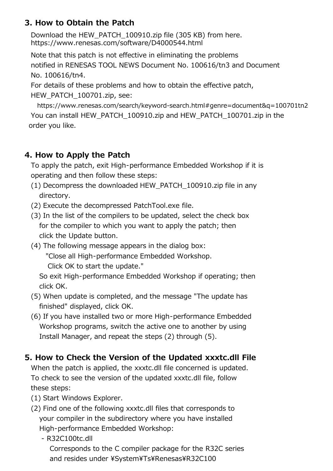### **3. How to Obtain the Patch**

Download the HEW\_PATCH\_100910.zip file (305 KB) from here. <https://www.renesas.com/software/D4000544.html>

Note that this patch is not effective in eliminating the problems notified in RENESAS TOOL NEWS Document No. 100616/tn3 and Document No. 100616/tn4.

For details of these problems and how to obtain the effective patch, HEW\_PATCH\_100701.zip, see:

https://www.renesas.com/search/keyword-search.html#genre=document&q=100701tn2 You can install HEW\_PATCH\_100910.zip and HEW\_PATCH\_100701.zip in the order you like.

#### **4. How to Apply the Patch**

To apply the patch, exit High-performance Embedded Workshop if it is operating and then follow these steps:

- (1) Decompress the downloaded HEW\_PATCH\_100910.zip file in any directory.
- (2) Execute the decompressed PatchTool.exe file.
- (3) In the list of the compilers to be updated, select the check box for the compiler to which you want to apply the patch; then click the Update button.
- (4) The following message appears in the dialog box: "Close all High-performance Embedded Workshop. Click OK to start the update."

 So exit High-performance Embedded Workshop if operating; then click OK.

- (5) When update is completed, and the message "The update has finished" displayed, click OK.
- (6) If you have installed two or more High-performance Embedded Workshop programs, switch the active one to another by using Install Manager, and repeat the steps (2) through (5).

#### **5. How to Check the Version of the Updated xxxtc.dll File**

When the patch is applied, the xxxtc.dll file concerned is updated. To check to see the version of the updated xxxtc.dll file, follow these steps:

- (1) Start Windows Explorer.
- (2) Find one of the following xxxtc.dll files that corresponds to your compiler in the subdirectory where you have installed High-performance Embedded Workshop:
	- R32C100tc.dll

Corresponds to the C compiler package for the R32C series and resides under ¥System¥Ts¥Renesas¥R32C100